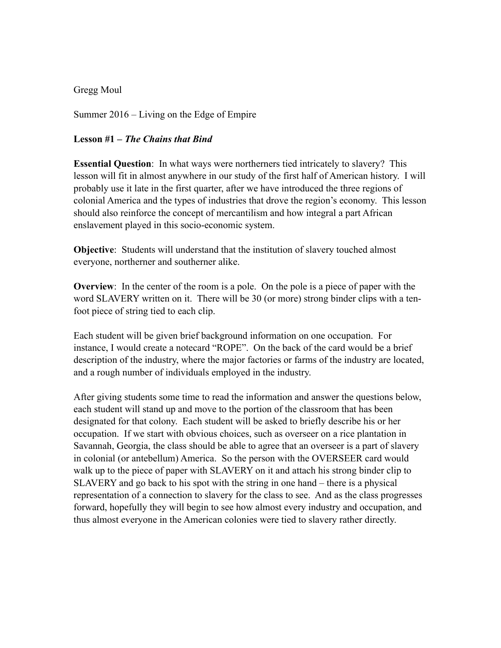## Gregg Moul

Summer 2016 – Living on the Edge of Empire

## **Lesson #1 –** *The Chains that Bind*

**Essential Question**: In what ways were northerners tied intricately to slavery? This lesson will fit in almost anywhere in our study of the first half of American history. I will probably use it late in the first quarter, after we have introduced the three regions of colonial America and the types of industries that drove the region's economy. This lesson should also reinforce the concept of mercantilism and how integral a part African enslavement played in this socio-economic system.

**Objective**: Students will understand that the institution of slavery touched almost everyone, northerner and southerner alike.

**Overview**: In the center of the room is a pole. On the pole is a piece of paper with the word SLAVERY written on it. There will be 30 (or more) strong binder clips with a tenfoot piece of string tied to each clip.

Each student will be given brief background information on one occupation. For instance, I would create a notecard "ROPE". On the back of the card would be a brief description of the industry, where the major factories or farms of the industry are located, and a rough number of individuals employed in the industry.

After giving students some time to read the information and answer the questions below, each student will stand up and move to the portion of the classroom that has been designated for that colony. Each student will be asked to briefly describe his or her occupation. If we start with obvious choices, such as overseer on a rice plantation in Savannah, Georgia, the class should be able to agree that an overseer is a part of slavery in colonial (or antebellum) America. So the person with the OVERSEER card would walk up to the piece of paper with SLAVERY on it and attach his strong binder clip to SLAVERY and go back to his spot with the string in one hand – there is a physical representation of a connection to slavery for the class to see. And as the class progresses forward, hopefully they will begin to see how almost every industry and occupation, and thus almost everyone in the American colonies were tied to slavery rather directly.